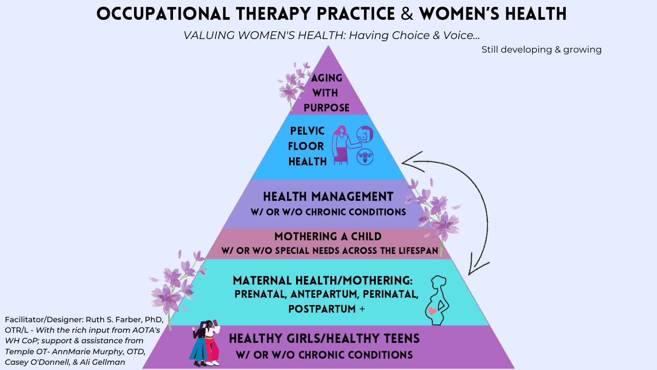# OCCUPATIONAL THERAPY PRACTICE & WOMEN'S HEALTH

*VALUING WOMEN'S HEALTH: Having Choice & Voice...*

Still developing & growing



Facilitator/Designer: Ruth S. Farber, PhD, OTR/L - *With the rich input from AOTA's WH CoP; support & assistance from Temple OT- AnnMarie Murphy, OTD, Casey O'Donnell, & Ali Gellman*

Maternal Health/mothering:



W/ OR W/O CHRONIC CONDITIONS